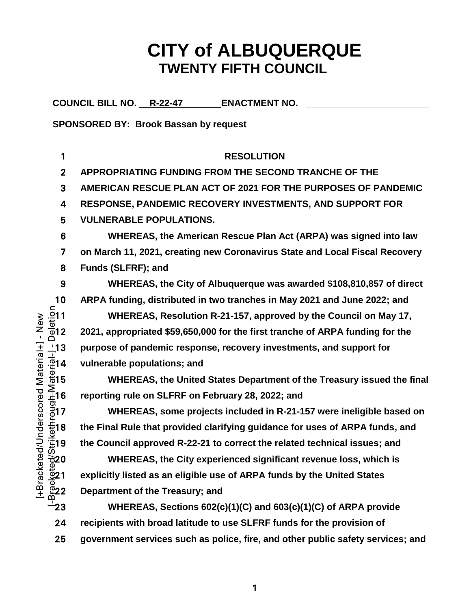# **CITY of ALBUQUERQUE TWENTY FIFTH COUNCIL**

COUNCIL BILL NO. R-22-47 **ENACTMENT NO.** 

**SPONSORED BY: Brook Bassan by request**

**RESOLUTION APPROPRIATING FUNDING FROM THE SECOND TRANCHE OF THE AMERICAN RESCUE PLAN ACT OF 2021 FOR THE PURPOSES OF PANDEMIC RESPONSE, PANDEMIC RECOVERY INVESTMENTS, AND SUPPORT FOR VULNERABLE POPULATIONS. WHEREAS, the American Rescue Plan Act (ARPA) was signed into law on March 11, 2021, creating new Coronavirus State and Local Fiscal Recovery Funds (SLFRF); and WHEREAS, the City of Albuquerque was awarded \$108,810,857 of direct**  10 ARPA funding, distributed in two tranches in May 2021 and June 2022; and<br>  $\frac{5}{2}$ 11 WHEREAS, Resolution R-21-157, approved by the Council on May 17,<br>  $\frac{3}{2}$ 12 2021, appropriated \$59,650,000 for the first tranche of **WHEREAS, Resolution R-21-157, approved by the Council on May 17, 2021, appropriated \$59,650,000 for the first tranche of ARPA funding for the purpose of pandemic response, recovery investments, and support for**  .<u>.</u><br>.⊉14 vulnerable populations; and **WHEREAS, the United States Department of the Treasury issued the final reporting rule on SLFRF on February 28, 2022; and WHEREAS, some projects included in R-21-157 were ineligible based on**   $\frac{4}{3}$ 18 the Final Rule that provided clarifying guidance for uses of ARPA funds, and **the Council approved R-22-21 to correct the related technical issues; and WHEREAS, the City experienced significant revenue loss, which is explicitly listed as an eligible use of ARPA funds by the United States Department of the Treasury; and WHEREAS, Sections 602(c)(1)(C) and 603(c)(1)(C) of ARPA provide recipients with broad latitude to use SLFRF funds for the provision of government services such as police, fire, and other public safety services; and**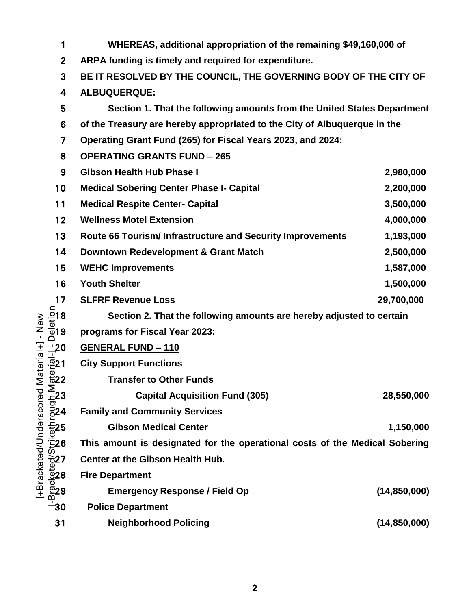| 1                                                                                                                                                                                                                                                                                                                                                                                      | WHEREAS, additional appropriation of the remaining \$49,160,000 of          |                |  |  |  |  |
|----------------------------------------------------------------------------------------------------------------------------------------------------------------------------------------------------------------------------------------------------------------------------------------------------------------------------------------------------------------------------------------|-----------------------------------------------------------------------------|----------------|--|--|--|--|
| $\overline{2}$                                                                                                                                                                                                                                                                                                                                                                         | ARPA funding is timely and required for expenditure.                        |                |  |  |  |  |
| 3                                                                                                                                                                                                                                                                                                                                                                                      | BE IT RESOLVED BY THE COUNCIL, THE GOVERNING BODY OF THE CITY OF            |                |  |  |  |  |
| 4                                                                                                                                                                                                                                                                                                                                                                                      | ALBUQUERQUE:                                                                |                |  |  |  |  |
| 5                                                                                                                                                                                                                                                                                                                                                                                      | Section 1. That the following amounts from the United States Department     |                |  |  |  |  |
| 6                                                                                                                                                                                                                                                                                                                                                                                      | of the Treasury are hereby appropriated to the City of Albuquerque in the   |                |  |  |  |  |
| 7                                                                                                                                                                                                                                                                                                                                                                                      | Operating Grant Fund (265) for Fiscal Years 2023, and 2024:                 |                |  |  |  |  |
| 8                                                                                                                                                                                                                                                                                                                                                                                      | <b>OPERATING GRANTS FUND - 265</b>                                          |                |  |  |  |  |
| 9                                                                                                                                                                                                                                                                                                                                                                                      | <b>Gibson Health Hub Phase I</b>                                            | 2,980,000      |  |  |  |  |
| 10                                                                                                                                                                                                                                                                                                                                                                                     | <b>Medical Sobering Center Phase I- Capital</b>                             | 2,200,000      |  |  |  |  |
| 11                                                                                                                                                                                                                                                                                                                                                                                     | <b>Medical Respite Center- Capital</b>                                      | 3,500,000      |  |  |  |  |
| 12                                                                                                                                                                                                                                                                                                                                                                                     | <b>Wellness Motel Extension</b>                                             | 4,000,000      |  |  |  |  |
| 13                                                                                                                                                                                                                                                                                                                                                                                     | Route 66 Tourism/ Infrastructure and Security Improvements                  | 1,193,000      |  |  |  |  |
| 14                                                                                                                                                                                                                                                                                                                                                                                     | Downtown Redevelopment & Grant Match                                        | 2,500,000      |  |  |  |  |
| 15                                                                                                                                                                                                                                                                                                                                                                                     | <b>WEHC Improvements</b>                                                    | 1,587,000      |  |  |  |  |
| 16                                                                                                                                                                                                                                                                                                                                                                                     | <b>Youth Shelter</b>                                                        | 1,500,000      |  |  |  |  |
| 17                                                                                                                                                                                                                                                                                                                                                                                     | <b>SLFRF Revenue Loss</b>                                                   | 29,700,000     |  |  |  |  |
|                                                                                                                                                                                                                                                                                                                                                                                        | Section 2. That the following amounts are hereby adjusted to certain        |                |  |  |  |  |
| $\frac{\text{L}}{\text{D}}$<br>$\frac{\text{L}}{\text{D}}$<br>$\frac{\text{L}}{\text{D}}$<br>$\frac{\text{L}}{\text{D}}$                                                                                                                                                                                                                                                               | programs for Fiscal Year 2023:                                              |                |  |  |  |  |
|                                                                                                                                                                                                                                                                                                                                                                                        | <b>GENERAL FUND - 110</b>                                                   |                |  |  |  |  |
|                                                                                                                                                                                                                                                                                                                                                                                        | <b>City Support Functions</b>                                               |                |  |  |  |  |
|                                                                                                                                                                                                                                                                                                                                                                                        | <b>Transfer to Other Funds</b>                                              |                |  |  |  |  |
|                                                                                                                                                                                                                                                                                                                                                                                        | <b>Capital Acquisition Fund (305)</b>                                       | 28,550,000     |  |  |  |  |
|                                                                                                                                                                                                                                                                                                                                                                                        | <b>Family and Community Services</b>                                        |                |  |  |  |  |
|                                                                                                                                                                                                                                                                                                                                                                                        | <b>Gibson Medical Center</b>                                                | 1,150,000      |  |  |  |  |
|                                                                                                                                                                                                                                                                                                                                                                                        | This amount is designated for the operational costs of the Medical Sobering |                |  |  |  |  |
|                                                                                                                                                                                                                                                                                                                                                                                        | Center at the Gibson Health Hub.                                            |                |  |  |  |  |
|                                                                                                                                                                                                                                                                                                                                                                                        | <b>Fire Department</b>                                                      |                |  |  |  |  |
| $\frac{1}{2}$<br>$\frac{1}{2}$<br>$\frac{1}{2}$<br>$\frac{1}{2}$<br>$\frac{1}{2}$<br>$\frac{1}{2}$<br>$\frac{1}{2}$<br>$\frac{1}{2}$<br>$\frac{1}{2}$<br>$\frac{1}{2}$<br>$\frac{1}{2}$<br>$\frac{1}{2}$<br>$\frac{1}{2}$<br>$\frac{1}{2}$<br>$\frac{1}{2}$<br>$\frac{1}{2}$<br>$\frac{1}{2}$<br>$\frac{1}{2}$<br>$\frac{1}{2}$<br>$\frac{1}{2}$<br>$\frac{1}{2}$<br>$\frac{1}{2}$<br> | <b>Emergency Response / Field Op</b>                                        | (14, 850, 000) |  |  |  |  |
|                                                                                                                                                                                                                                                                                                                                                                                        | <b>Police Department</b>                                                    |                |  |  |  |  |
| 31                                                                                                                                                                                                                                                                                                                                                                                     | <b>Neighborhood Policing</b>                                                | (14, 850, 000) |  |  |  |  |

[+Bracketed/Underscored Material+] - New [+Bracketed/Underscored Material+] - New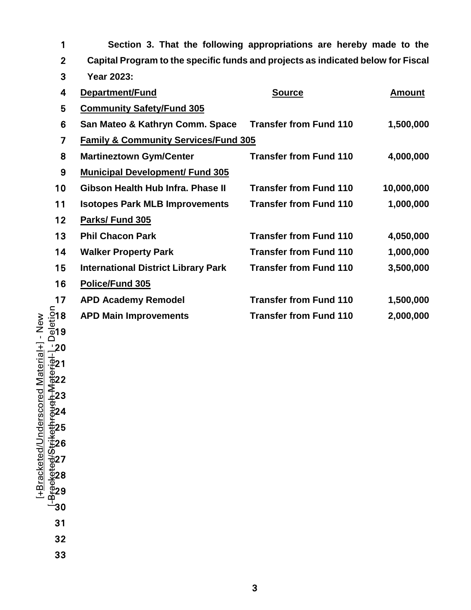| 1              | Section 3. That the following appropriations are hereby made to the              |                               |               |  |  |  |  |  |  |
|----------------|----------------------------------------------------------------------------------|-------------------------------|---------------|--|--|--|--|--|--|
| $\overline{2}$ | Capital Program to the specific funds and projects as indicated below for Fiscal |                               |               |  |  |  |  |  |  |
| 3              | <b>Year 2023:</b>                                                                |                               |               |  |  |  |  |  |  |
| 4              | Department/Fund                                                                  | <b>Source</b>                 | <b>Amount</b> |  |  |  |  |  |  |
| 5              | <b>Community Safety/Fund 305</b>                                                 |                               |               |  |  |  |  |  |  |
| 6              | San Mateo & Kathryn Comm. Space                                                  | <b>Transfer from Fund 110</b> | 1,500,000     |  |  |  |  |  |  |
| $\overline{7}$ | <b>Family &amp; Community Services/Fund 305</b>                                  |                               |               |  |  |  |  |  |  |
| 8              | <b>Martineztown Gym/Center</b>                                                   | <b>Transfer from Fund 110</b> | 4,000,000     |  |  |  |  |  |  |
| 9              | <b>Municipal Development/ Fund 305</b>                                           |                               |               |  |  |  |  |  |  |
| 10             | Gibson Health Hub Infra. Phase II                                                | <b>Transfer from Fund 110</b> | 10,000,000    |  |  |  |  |  |  |
| 11             | <b>Isotopes Park MLB Improvements</b>                                            | <b>Transfer from Fund 110</b> | 1,000,000     |  |  |  |  |  |  |
| 12             | Parks/Fund 305                                                                   |                               |               |  |  |  |  |  |  |
| 13             | <b>Phil Chacon Park</b>                                                          | <b>Transfer from Fund 110</b> | 4,050,000     |  |  |  |  |  |  |
| 14             | <b>Walker Property Park</b>                                                      | <b>Transfer from Fund 110</b> | 1,000,000     |  |  |  |  |  |  |
| 15             | <b>International District Library Park</b>                                       | <b>Transfer from Fund 110</b> | 3,500,000     |  |  |  |  |  |  |
| 16             | Police/Fund 305                                                                  |                               |               |  |  |  |  |  |  |
| 17             | <b>APD Academy Remodel</b>                                                       | <b>Transfer from Fund 110</b> | 1,500,000     |  |  |  |  |  |  |
| 18             | <b>APD Main Improvements</b>                                                     | <b>Transfer from Fund 110</b> | 2,000,000     |  |  |  |  |  |  |

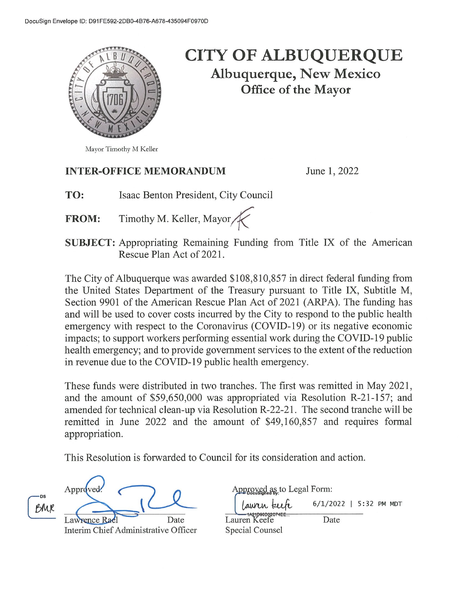

## **CITY OF ALBUQUERQUE** Albuquerque, New Mexico **Office of the Mayor**

#### **INTER-OFFICE MEMORANDUM**

June 1, 2022

- Isaac Benton President, City Council TO:
- Timothy M. Keller, Mayor **FROM:**
- **SUBJECT:** Appropriating Remaining Funding from Title IX of the American Rescue Plan Act of 2021.

The City of Albuquerque was awarded \$108,810,857 in direct federal funding from the United States Department of the Treasury pursuant to Title IX, Subtitle M, Section 9901 of the American Rescue Plan Act of 2021 (ARPA). The funding has and will be used to cover costs incurred by the City to respond to the public health emergency with respect to the Coronavirus (COVID-19) or its negative economic impacts; to support workers performing essential work during the COVID-19 public health emergency; and to provide government services to the extent of the reduction in revenue due to the COVID-19 public health emergency.

These funds were distributed in two tranches. The first was remitted in May 2021, and the amount of \$59,650,000 was appropriated via Resolution R-21-157; and amended for technical clean-up via Resolution R-22-21. The second tranche will be remitted in June 2022 and the amount of \$49,160,857 and requires formal appropriation.

This Resolution is forwarded to Council for its consideration and action.

| -DS<br>BMR | Approved.                            |      |
|------------|--------------------------------------|------|
|            | Lawrence Rael                        | Date |
|            | Interim Chief Administrative Officer |      |

| Approved as to Legal Form:               |  |  |  |  |  |  |  |
|------------------------------------------|--|--|--|--|--|--|--|
| ' Lauren teefe<br>6/1/2022   5:32 PM MDT |  |  |  |  |  |  |  |
| IAZ IDSUDJZUTACE<br>Lauren Keefe<br>Date |  |  |  |  |  |  |  |
| Special Counsel                          |  |  |  |  |  |  |  |

Mayor Timothy M Keller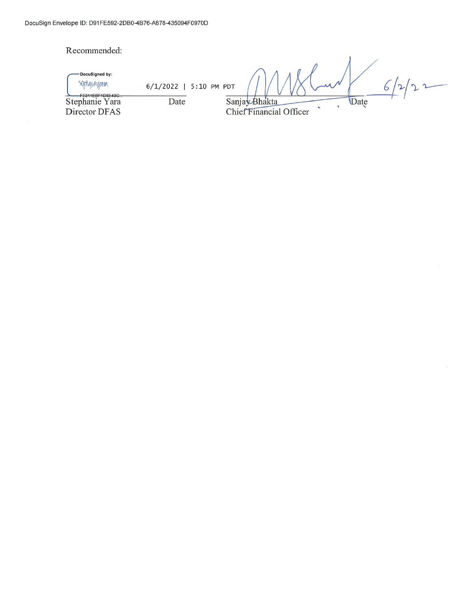#### Recommended: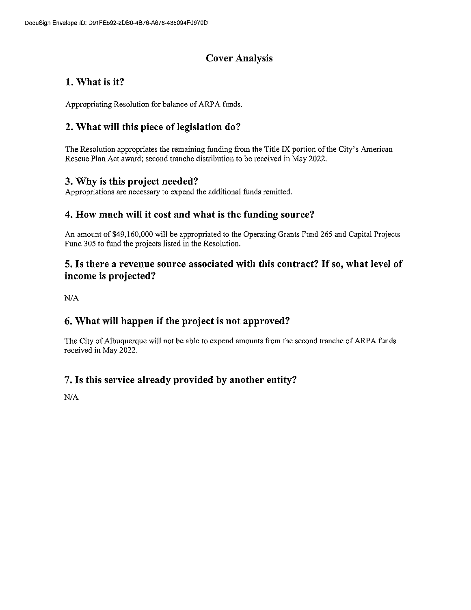## **Cover Analysis**

## 1. What is it?

Appropriating Resolution for balance of ARPA funds.

## 2. What will this piece of legislation do?

The Resolution appropriates the remaining funding from the Title IX portion of the City's American Rescue Plan Act award; second tranche distribution to be received in May 2022.

#### 3. Why is this project needed?

Appropriations are necessary to expend the additional funds remitted.

#### 4. How much will it cost and what is the funding source?

An amount of \$49,160,000 will be appropriated to the Operating Grants Fund 265 and Capital Projects Fund 305 to fund the projects listed in the Resolution.

#### 5. Is there a revenue source associated with this contract? If so, what level of income is projected?

 $N/A$ 

## 6. What will happen if the project is not approved?

The City of Albuquerque will not be able to expend amounts from the second tranche of ARPA funds received in May 2022.

#### 7. Is this service already provided by another entity?

 $N/A$